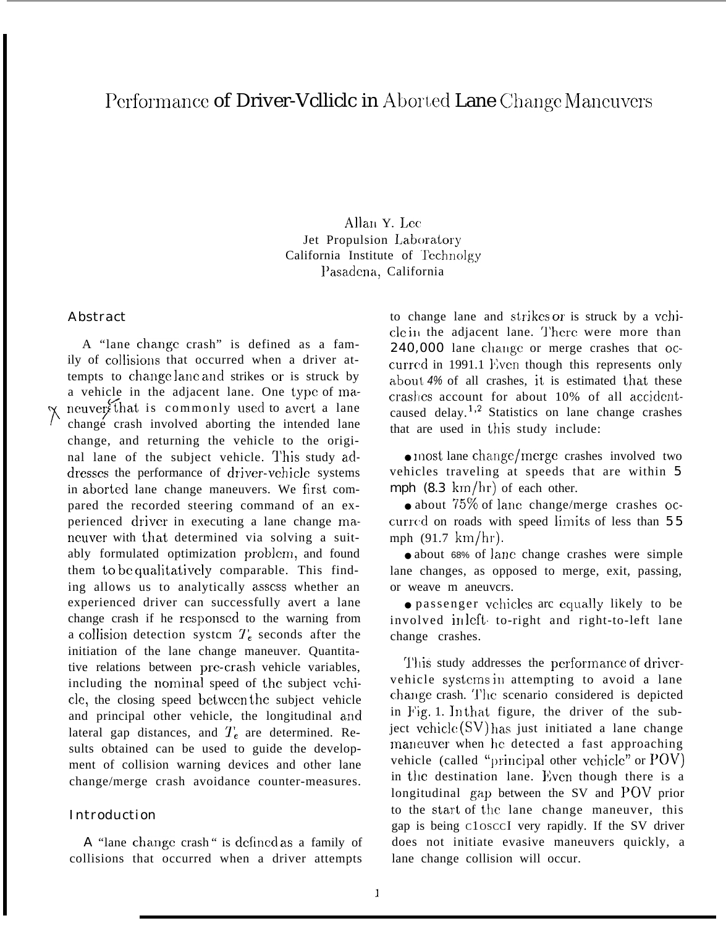## Performance of Driver-Vclliclc in Aborted Lane Change Maneuvers

Allan Y. Lec Jet Propulsion Laboratory California Institute of Tcchnolgy l'asadena, California

#### Abstract

**7",** A "lane change crash" is defined as a family of collisions that occurred when a driver attempts to change lane and strikes or is struck by a vehicle in the adjacent lane. One type of ma neuver that is commonly used to avert a lane<br>change crash involved aborting the intended lane change crash involved aborting the intended lane change, and returning the vehicle to the original lane of the subject vehicle. This study addresses the performance of driver-vehicle systems in aborted lane change maneuvers. We first compared the recorded steering command of an experienced driver in executing a lane change maneuver with that determined via solving a suitably formulated optimization problcm, and found them to be qualitatively comparable. This finding allows us to analytically assess whether an experienced driver can successfully avert a lane change crash if he rcsponsed to the warning from a collision detection system  $T_e$  seconds after the initiation of the lane change maneuver. Quantitative relations between prc-crash vehicle variables, including the nominal speed of the subject vehicle, the closing speed bctwccn the subject vehicle and principal other vehicle, the longitudinal and lateral gap distances, and  $T_e$  are determined. Results obtained can be used to guide the development of collision warning devices and other lane change/merge crash avoidance counter-measures.

### Introduction

A "lane change crash" is defined as a family of collisions that occurred when a driver attempts

to change lane and strjkes or is struck by a vchicle in the adjacent lane. There were more than 240,000 lane change or merge crashes that occurred in 1991.1 Even though this represents only about *4%* of all crashes, it is estimated that these crashes account for about 10% of all accidentcaused delay.<sup>1,2</sup> Statistics on lane change crashes that are used in this study include:

 $\bullet$  most lane change/merge crashes involved two vehicles traveling at speeds that are within 5 mph  $(8.3 \text{ km/hr})$  of each other.

 $\bullet$  about  $75\%$  of lane change/merge crashes occurred on roads with speed limits of less than  $55$ mph (91.7 km/hr).

● about 68% of lane change crashes were simple lane changes, as opposed to merge, exit, passing, or weave m aneuvcrs.

• passenger vchicles arc equally likely to be involved in left to-right and right-to-left lane change crashes.

This study addresses the performance of drivervehicle systems in attempting to avoid a lane change crash. The scenario considered is depicted in Fig. 1. In that figure, the driver of the subject vchicle  $(SV)$  has just initiated a lane change maneuver when he detected a fast approaching vehicle (called "principal other vchicle" or  $POV$ ) in the destination lane. Even though there is a longitudinal gap between the SV and POV prior to the start of the lane change maneuver, this gap is being C1OSCCI very rapidly. If the SV driver does not initiate evasive maneuvers quickly, a lane change collision will occur.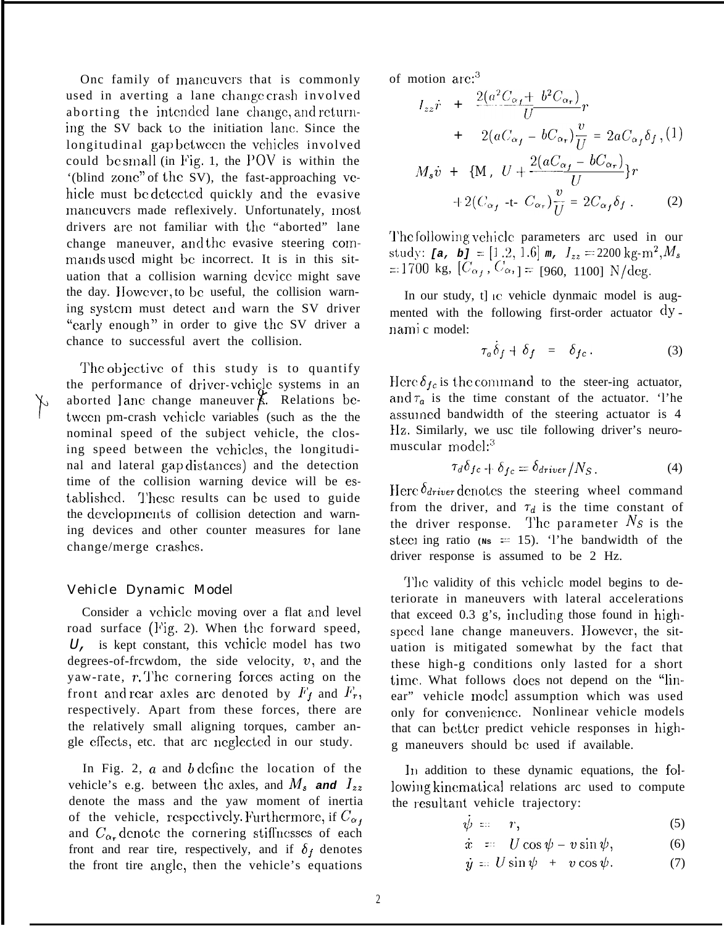Onc family of maneuvers that is commonly used in averting a lane change crash involved aborting the intended lane change, and returning the SV back to the initiation lane. Since the longitudinal gap between the vehicles involved could be small (in Fig. 1, the POV is within the '(blind zone" of the SV), the fast-approaching vehicle must be detected quickly and the evasive mancuvers made reflexively. Unfortunately, most drivers are not familiar with the "aborted" lane change maneuver, and the evasive steering commands used might be incorrect. It is in this situation that a collision warning device might save the day. However, to be useful, the collision warning system must detect and warn the SV driver "early enough" in order to give the SV driver a chance to successful avert the collision.

The objective of this study is to quantify the performance of driver-vchicle systems in an aborted lanc change maneuver  $\beta$ . Relations betwccn pm-crash vchiclc variables (such as the the nominal speed of the subject vehicle, the closing speed between the vehicles, the longitudinal and lateral gap distauccs) and the detection time of the collision warning device will be established. 'J'hcsc results can bc used to guide the developments of collision detection and warning devices and other counter measures for lane change/merge crashes.

#### Vehicle Dynamic Model

H

Consider a vehicle moving over a flat and level road surface (Fig. 2). When the forward speed,  $U<sub>l</sub>$  is kept constant, this vehicle model has two degrees-of-frcwdom, the side velocity,  $v$ , and the yaw-rate,  $r$ . The cornering forces acting on the front and rear axles are denoted by  $F_f$  and  $F_r$ , respectively. Apart from these forces, there are the relatively small aligning torques, camber angle effects, etc. that arc neglected in our study.

In Fig. 2,  $\alpha$  and  $\beta$  define the location of the vehicle's e.g. between the axles, and  $M_s$  and  $I_{zz}$ denote the mass and the yaw moment of inertia of the vehicle, respectively. Furthermore, if  $C_{\alpha}$ and  $C_{\alpha_r}$  denote the cornering stiffnesses of each front and rear tire, respectively, and if  $\delta_f$  denotes the front tire angle, then the vehicle's equations

of motion arc:3

$$
I_{zz}\dot{r} + \frac{2(a^2C_{\alpha_f} + b^2C_{\alpha_r})}{U}r
$$
  
+ 
$$
2(aC_{\alpha_f} - bC_{\alpha_r})\frac{v}{U} = 2aC_{\alpha_f}\delta_f, (1)
$$
  

$$
M_s\dot{v} + \{M, U + \frac{2(aC_{\alpha_f} - bC_{\alpha_r})}{U}\}r
$$
  
+ 
$$
2(C_{\alpha_f} - t - C_{\alpha_r})\frac{v}{U} = 2C_{\alpha_f}\delta_f.
$$
 (2)

The following vehicle parameters arc used in our  $\text{study:}$  [a, b] =  $[1 \ .2, 1.6]$  m,  $I_{zz} = 2200 \ \text{kg} \cdot \text{m}^2, M_{zz}$  $=1700$  kg,  $[C_{\alpha_f}, C_{\alpha_f}] = [960, 1100]$  N/deg.

In our study, t] ie vehicle dynmaic model is augmented with the following first-order actuator  $\mathrm{d}y$ . nami c model:

$$
\tau_a \dot{\delta}_f + \delta_f = \delta_{fc} . \tag{3}
$$

Here  $\delta_{fc}$  is the command to the steer-ing actuator, and  $\tau_a$  is the time constant of the actuator. 'l'he assulncd bandwidth of the steering actuator is 4 lIz. Similarly, we usc tile following driver's neuromuscular model: $3$ 

$$
\tau_d \delta_{fc} + \delta_{fc} = \delta_{driver} / N_S. \tag{4}
$$

Here  $\delta_{\text{driver}}$  denotes the steering wheel command from the driver, and  $\tau_d$  is the time constant of the driver response. The parameter  $N_s$  is the steel ing ratio  $(Ns = 15)$ . The bandwidth of the driver response is assumed to be 2 Hz.

The validity of this vehicle model begins to deteriorate in maneuvers with lateral accelerations that exceed 0.3 g's, including those found in highspeed lane change maneuvers. However, the situation is mitigated somewhat by the fact that these high-g conditions only lasted for a short time. What follows does not depend on the "linear" vehicle model assumption which was used only for convenience. Nonlinear vehicle models that can better predict vehicle responses in highg maneuvers should bc used if available.

In addition to these dynamic equations, the following kinematical relations arc used to compute the resultant vehicle trajectory:

$$
\dot{\psi} = r,\tag{5}
$$

$$
\dot{x} = U \cos \psi - v \sin \psi, \qquad (6)
$$

$$
\dot{y} = U \sin \psi + v \cos \psi. \tag{7}
$$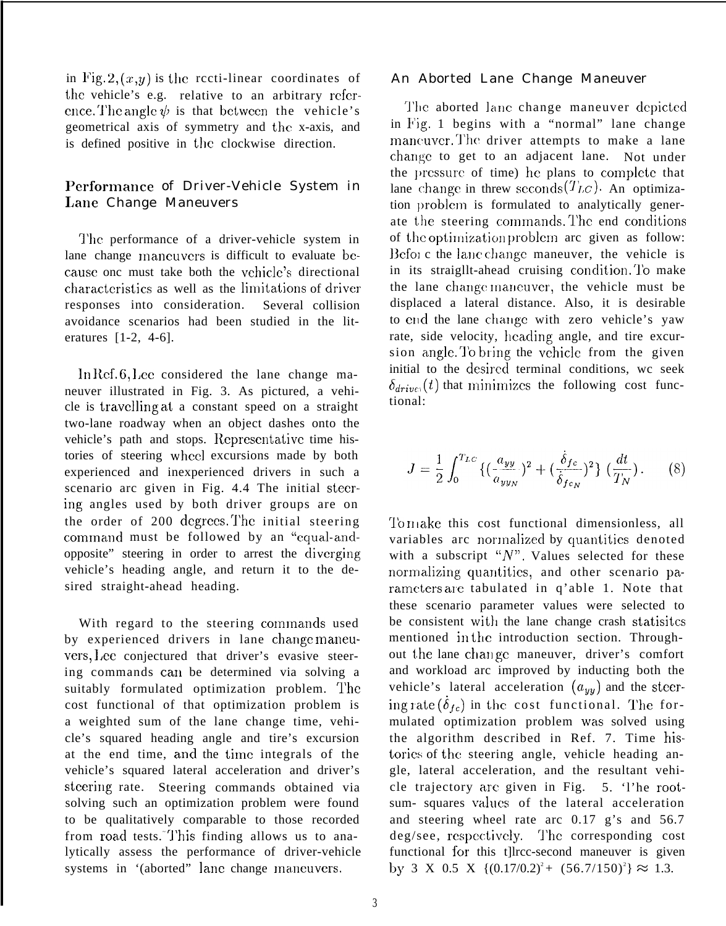in Fig.  $2, (x,y)$  is the recti-linear coordinates of the vehicle's e.g. relative to an arbitrary reference. The angle  $\psi$  is that between the vehicle's geometrical axis of symmetry and the x-axis, and is defined positive in the clockwise direction.

## Performance of Driver-Vehicle System in Lane Change Maneuvers

The performance of a driver-vehicle system in lane change mancuvers is difficult to evaluate because onc must take both the vehicle's directional characteristics as well as the limitations of driver responses into consideration. Several collision avoidance scenarios had been studied in the literatures [1-2, 4-6].

In Ref.  $6$ , Lee considered the lane change maneuver illustrated in Fig. 3. As pictured, a vehicle is travclling at a constant speed on a straight two-lane roadway when an object dashes onto the vehicle's path and stops. Representative time histories of steering whcc] excursions made by both experienced and inexperienced drivers in such a scenario arc given in Fig. 4.4 The initial steering angles used by both driver groups are on the order of  $200$  degrees. The initial steering command must be followed by an "equal-andopposite" steering in order to arrest the diverging vehicle's heading angle, and return it to the desired straight-ahead heading.

With regard to the steering commands used by experienced drivers in lane change maneuvers, Lee conjectured that driver's evasive steering commands can be determined via solving a suitably formulated optimization problem. The cost functional of that optimization problem is a weighted sum of the lane change time, vehicle's squared heading angle and tire's excursion at the end time, and the time integrals of the vehicle's squared lateral acceleration and driver's steering rate. Steering commands obtained via solving such an optimization problem were found to be qualitatively comparable to those recorded from road tests. This finding allows us to analytically assess the performance of driver-vehicle systems in '(aborted" lane change maneuvers.

#### An Aborted Lane Change Maneuver

The aborted lane change maneuver depicted in Fig. 1 begins with a "normal" lane change maneuver. The driver attempts to make a lane change to get to an adjacent lane. Not under the pressure of time) he plans to complete that lane change in threw seconds  $(T_{LC})$ . An optimization problem is formulated to analytically generate the steering commands. The end conditions of the optimization problem arc given as follow: Beforc the lane change maneuver, the vehicle is in its straight-ahead cruising condition. To make the lane change maneuver, the vehicle must be displaced a lateral distance. Also, it is desirable to end the lane change with zero vehicle's yaw rate, side velocity, heading angle, and tire excursion angle. To bring the vchicle from the given initial to the desired terminal conditions, wc seek  $\delta_{drive}(t)$  that minimizes the following cost functional:

$$
J = \frac{1}{2} \int_0^{T_{LC}} \{ (\frac{a_{yy}}{a_{yyy}})^2 + (\frac{\dot{\delta}_{fc}}{\dot{\delta}_{fcN}})^2 \} (\frac{dt}{T_N}).
$$
 (8)

To make this cost functional dimensionless, all variables arc normalized by quantities denoted with a subscript " $N$ ". Values selected for these normalizing quantities, and other scenario parameters are tabulated in q'able 1. Note that these scenario parameter values were selected to be consistent with the lane change crash statisites mentioned in the introduction section. Throughout the lane change maneuver, driver's comfort and workload arc improved by inducting both the vehicle's lateral acceleration  $(a_{yy})$  and the steering rate ( $\dot{\delta}_{fc}$ ) in the cost functional. The formulated optimization problem was solved using the algorithm described in Ref. 7. Time histories of the steering angle, vehicle heading angle, lateral acceleration, and the resultant vehicle trajectory are given in Fig. 5. 'l'he rootsum- squares values of the lateral acceleration and steering wheel rate arc 0.17 g's and 56.7 deg/see, respectively. The corresponding cost functional for this t]lrcc-second maneuver is given by 3 X 0.5 X  $\{(0.17/0.2)^2 + (56.7/150)^2\} \approx 1.3$ .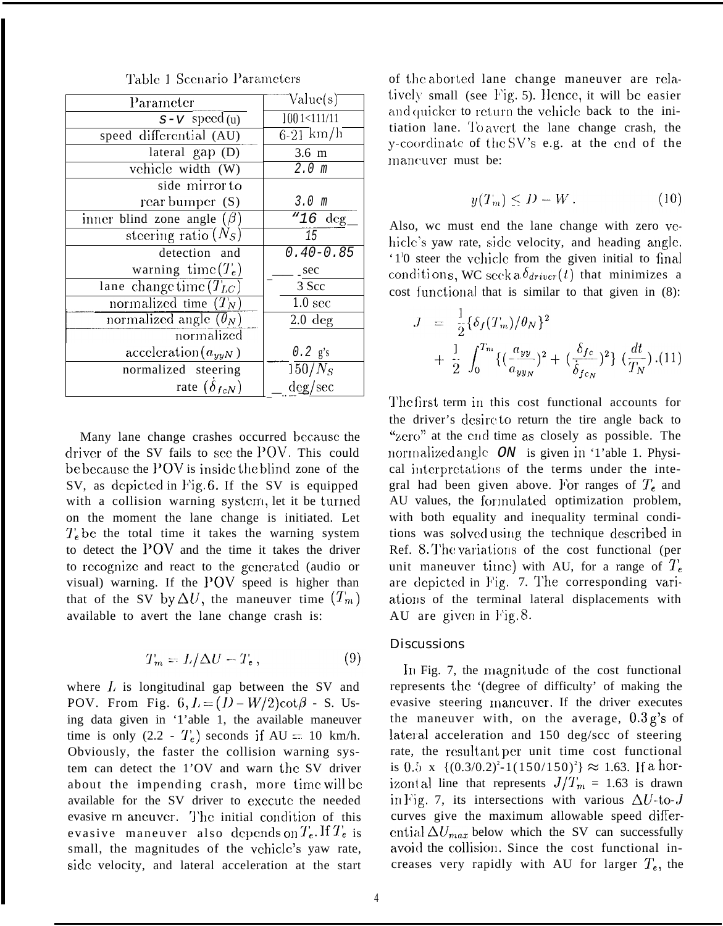| Parameter                        | Value(s)           |
|----------------------------------|--------------------|
| $s-v$ speed (u)                  | 1001<111/11        |
| speed differential (AU)          | $6-21$ km/h        |
| lateral gap (D)                  | 3.6 <sub>m</sub>   |
| vehicle width (W)                | 2.0 <sub>m</sub>   |
| side mirror to                   |                    |
| rear bumper $(S)$                | 3.0 <sub>m</sub>   |
| inner blind zone angle $(\beta)$ | " $16 \text{ deg}$ |
| steering ratio $(N_S)$           | 15                 |
| detection and                    | $0.40 - 0.85$      |
| warning time $(T_e)$             | sec                |
| lane change time $(T_{LC})$      | 3 Scc              |
| normalized time $(T_N)$          | 1.0 <sub>sec</sub> |
| normalized angle $(\theta_N)$    | $2.0 \text{ deg}$  |
| normalized                       |                    |
| $\text{acceleration}(a_{yyN})$   | $0.2$ g's          |
| normalized steering              | $150/N_S$          |
| rate $(\delta_{fcN})$            | deg/sec            |

Many lane change crashes occurred bccausc the driver of the SV fails to see the  $POV$ . This could be because the POV is inside the blind zone of the SV, as depicted in Fig. 6. If the SV is equipped with a collision warning system, let it be turned on the moment the lane change is initiated. Let  $T_e$  be the total time it takes the warning system to detect the 1'OV and the time it takes the driver to rccognizc and react to the gcncratcd (audio or visual) warning. If the  $POV$  speed is higher than that of the SV by  $\Delta U$ , the maneuver time  $(T_m)$ available to avert the lane change crash is:

$$
T_m = L/\Delta U - T_e, \qquad (9)
$$

where  $L$  is longitudinal gap between the SV and POV. From Fig.  $6, L = (D - W/2)\cot\beta$  - S. Using data given in '1'able 1, the available maneuver time is only  $(2.2 - T_c)$  seconds if AU = 10 km/h. Obviously, the faster the collision warning system can detect the 1'OV and warn the SV driver about the impending crash, more time will be available for the SV driver to execute the needed evasive rn aneuver. The initial condition of this evasive maneuver also depends on  $T_e$ . If  $T_e$  is small, the magnitudes of the vchicle's yaw rate, side velocity, and lateral acceleration at the start of the aborted lane change maneuver are relatively small (see Fig. 5). Hence, it will be easier and quicker to return the vehicle back to the initiation lane. '1'o avert the lane change crash, the y-coordinate of the SV's e.g. at the end of the maneuver must be:

$$
y(T_m) \le D - W. \tag{10}
$$

Also, wc must end the lane change with zero vehicle's yaw rate, side velocity, and heading angle. '1<sup>1</sup>0 steer the vehicle from the given initial to final conditions, WC seek a  $\delta_{driver}(t)$  that minimizes a cost functional that is similar to that given in  $(8)$ :

$$
J = \frac{1}{2} \{ \delta_f(T_m) / \theta_N \}^2
$$
  
+ 
$$
\frac{1}{2} \int_0^{T_m} \{ (\frac{a_{yy}}{a_{yyy}})^2 + (\frac{\delta_{fc}}{\delta_{fcN}})^2 \} (\frac{dt}{T_N}). (11)
$$

The first term in this cost functional accounts for the driver's desire to return the tire angle back to " $zero$ " at the cnd time as closely as possible. The normalized angle *ON* is given in '1'able 1. Physical interpretations of the terms under the integral had been given above. For ranges of  $T_e$  and AU values, the formulated optimization problem, with both equality and inequality terminal conditions was solved using the technique described in Ref. 8. The variations of the cost functional (per unit maneuver time) with AU, for a range of  $T_e$ are depicted in Fig. 7. The corresponding variatiolis of the terminal lateral displacements with AU are given in  $\text{Fig. 8.}}$ 

#### **Discussions**

In Fig. 7, the magnitude of the cost functional represents the '(degree of difficulty' of making the evasive steering lnancuver. If the driver executes the maneuver with, on the average, 0.3 **g's** of lateral acceleration and  $150 \text{ deg/sec of steering}$ rate, the resultant per unit time cost functional is 0.5 x  $\{(0.3/0.2)^2 - 1(150/150)^2\} \approx 1.63$ . If a horizont al line that represents  $J/T_m = 1.63$  is drawn in Fig. 7, its intersections with various  $\Delta U$ -to-J curves give the maximum allowable speed differential  $\Delta U_{max}$  below which the SV can successfully avoid the collision. Since the cost functional increases very rapidly with AU for larger  $T_e$ , the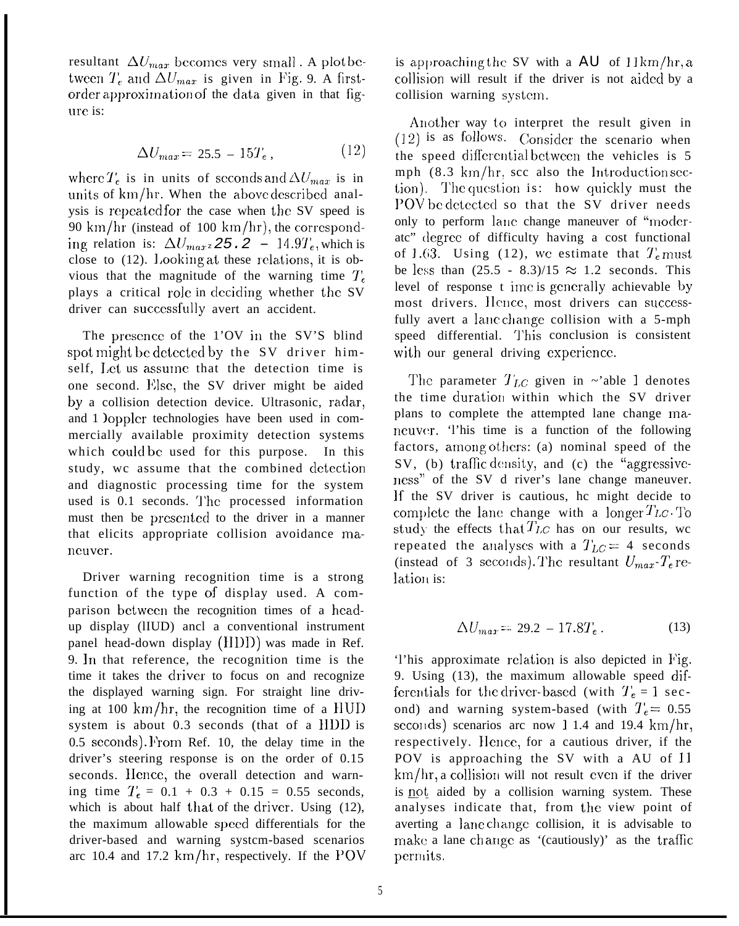resultant  $\Delta U_{max}$  becomes very small. A plot between  $T_e$  and  $\Delta U_{max}$  is given in Fig. 9. A firstorder approximation of the data given in that figure is:

$$
\Delta U_{max} = 25.5 - 15T_e, \qquad (12)
$$

where  $T_e$  is in units of seconds and  $\Delta U_{max}$  is in units of km/hr. When the above described analysis is repeated for the case when the SV speed is 90 km/hr (instead of 100 km/hr), the corresponding relation is:  $\Delta U_{max}$   $z25.2 - 14.9T_e$ , which is close to  $(12)$ . Looking at these relations, it is obvious that the magnitude of the warning time  $T_c$ plays a critical role in deciding whether the SV driver can succcssful]y avert an accident.

The presence of the 1'OV in the SV'S blind spot might be detected by the SV driver himself, Let us assume that the detection time is one second. Else, the SV driver might be aided by a collision detection device. Ultrasonic, radar, and 1 )opplcr technologies have been used in commercially available proximity detection systems which could be used for this purpose. In this study, wc assume that the combined detection and diagnostic processing time for the system used is 0.1 seconds. The processed information must then be presented to the driver in a manner that elicits appropriate collision avoidance mancuver.

Driver warning recognition time is a strong function of the type of display used. A comparison bctwccn the recognition times of a hcadup display (lIUD) ancl a conventional instrument panel head-down display  $(HID)$  was made in Ref. 9. ]n that reference, the recognition time is the time it takes the driver to focus on and recognize the displayed warning sign. For straight line driving at 100 km/hr, the recognition time of a  $HUD$ system is about 0.3 seconds (that of a IIDD is  $0.5$  seconds). From Ref. 10, the delay time in the driver's steering response is on the order of 0.15 seconds. Hence, the overall detection and warning time  $T_e = 0.1 + 0.3 + 0.15 = 0.55$  seconds, which is about half that of the driver. Using  $(12)$ , the maximum allowable speed differentials for the driver-based and warning systcm-based scenarios arc 10.4 and 17.2  $km/hr$ , respectively. If the POV

is approaching the SV with a  $AU$  of  $11 \text{km/hr}$ , a collision will result if the driver is not aided by a collision warning systcm.

Another way to interpret the result given in  $(12)$  is as follows. Consider the scenario when the speed differential between the vehicles is 5 mph  $(8.3 \text{ km/hr})$ , scc also the Introduction section). The question is: how quickly must the POV be detected so that the SV driver needs only to perform lane change maneuver of "moderatc" degree of difficulty having a cost functional of 1.63. Using (12), we estimate that  $T_e$  must be less than  $(25.5 - 8.3)/15 \approx 1.2$  seconds. This level of response t ime is generally achievable by most drivers. Hence, most drivers can successfully avert a lanc change collision with a 5-mph speed differential. This conclusion is consistent with our general driving experience.

The parameter  $T_{LC}$  given in ~'able 1 denotes the time duration within which the SV driver plans to complete the attempted lane change mancuvcr. 'l'his time is a function of the following factors, among others: (a) nominal speed of the SV, (b) traffic density, and (c) the "aggressiveness" of the SV d river's lane change maneuver. If the SV driver is cautious, hc might decide to complete the lane change with a longer  $T_{LC}$ . To study the effects that  $T_{LC}$  has on our results, wc repeated the analyses with a  $T_{LC} = 4$  seconds (instead of 3 seconds). The resultant  $U_{max}$ - $T_e$  relation is:

$$
\Delta U_{max} = 29.2 - 17.8T_e \,. \tag{13}
$$

'l'his approximate rc]ation is also depicted in l'ig. 9. Using (13), the maximum allowable speed differentials for the driver-based (with  $T_e = 1$  second) and warning system-based (with  $T_e = 0.55$ seconds) scenarios arc now 1 1.4 and 19.4  $km/hr$ , respectively. Hence, for a cautious driver, if the POV is approaching the SV with a AU of 11  $km/hr$ , a collision will not result even if the driver is not aided by a collision warning system. These analyses indicate that, from the view point of averting a lane change collision, it is advisable to make a lane change as '(cautiously)' as the traffic permits.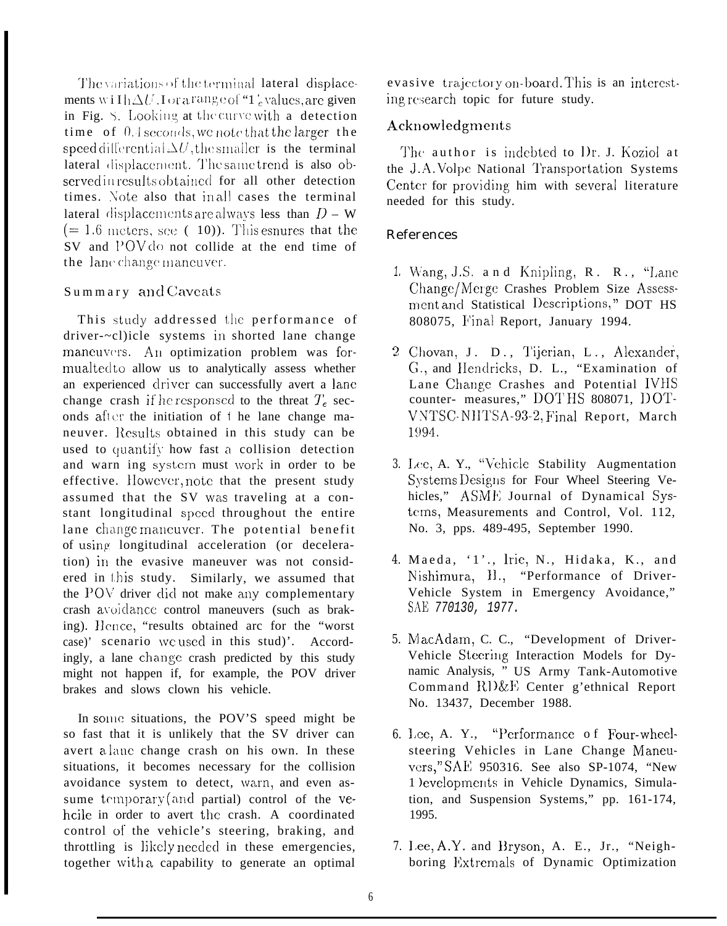The variations of the terminal lateral displacements willh $\Delta U$ . Lor a range of "1', values, are given in Fig. S. Looking at the curve with a detection time of 0.4 seconds, we note that the larger the speed differential  $\Delta U$ , the smaller is the terminal lateral displacement. The same trend is also observed in results obtained for all other detection times. Note also that in all cases the terminal lateral displacements are always less than  $D - W$  $(= 1.6 \text{ meters}, \text{see} (10)).$  This espares that the SV and POV do not collide at the end time of the lane change maneuver.

## Summary and Caveats

This study addressed the performance of driver-~cl)icle systems in shorted lane change maneuvers. An optimization problem was formualted to allow us to analytically assess whether an experienced driver can successfully avert a lane change crash if he responsed to the threat  $T_e$  seconds after the initiation of the lane change maneuver. Results obtained in this study can be used to quantify how fast a collision detection and warn ing system must work in order to be effective. However, note that the present study assumed that the SV was traveling at a constant longitudinal speed throughout the entire lane changemaneuver. The potential benefit of using longitudinal acceleration (or deceleration) in the evasive maneuver was not considered in this study. Similarly, we assumed that the POV driver did not make any complementary crash avoidance control maneuvers (such as braking). Hence, "results obtained arc for the "worst case)' scenario we used in this stud)'. Accordingly, a lane change crash predicted by this study might not happen if, for example, the POV driver brakes and slows clown his vehicle.

In some situations, the POV'S speed might be so fast that it is unlikely that the SV driver can avert a lane change crash on his own. In these situations, it becomes necessary for the collision avoidance system to detect, warn, and even assume temporary (and partial) control of the vehoile in order to avert the crash. A coordinated control of the vehicle's steering, braking, and throttling is likely needed in these emergencies, together with a capability to generate an optimal

evasive trajectory on-board. This is an interesting research topic for future study.

## Acknowledgments

The author is indebted to Dr. J. Koziol at the J.A. Volpe National Transportation Systems Center for providing him with several literature needed for this study.

## **References**

- 1. Wang, J.S. and Knipling, R. R., "Lane Change/Merge Crashes Problem Size Assessment and Statistical Descriptions," DOT HS 808075, Final Report, January 1994.
- 2 Chovan, J. D., Tijerian, L., Alexander, G., and Hendricks, D. L., "Examination of Lane Change Crashes and Potential IVHS counter- measures," DOTHS 808071, DOT-VNTSC-NHTSA-93-2, Final Report, March 1994.
- 3. Lee, A. Y., "Vehicle Stability Augmentation Systems Designs for Four Wheel Steering Vehicles," ASME Journal of Dynamical Systems, Measurements and Control, Vol. 112, No. 3, pps. 489-495, September 1990.
- 4. Maeda, '1'., Irie, N., Hidaka, K., and Nishimura, H., "Performance of Driver-Vehicle System in Emergency Avoidance," SAE 770130, 1977.
- 5. MacAdam, C. C., "Development of Driver-Vehicle Steering Interaction Models for Dynamic Analysis, " US Army Tank-Automotive Command RI)&E Center g'ethnical Report No. 13437, December 1988.
- 6. Lee, A. Y., "Performance of Four-wheelsteering Vehicles in Lane Change Maneuvers," SAE 950316. See also SP-1074, "New 1 ) evelopments in Vehicle Dynamics, Simulation, and Suspension Systems," pp. 161-174, 1995.
- 7. Lee, A.Y. and Bryson, A. E., Jr., "Neighboring Extremals of Dynamic Optimization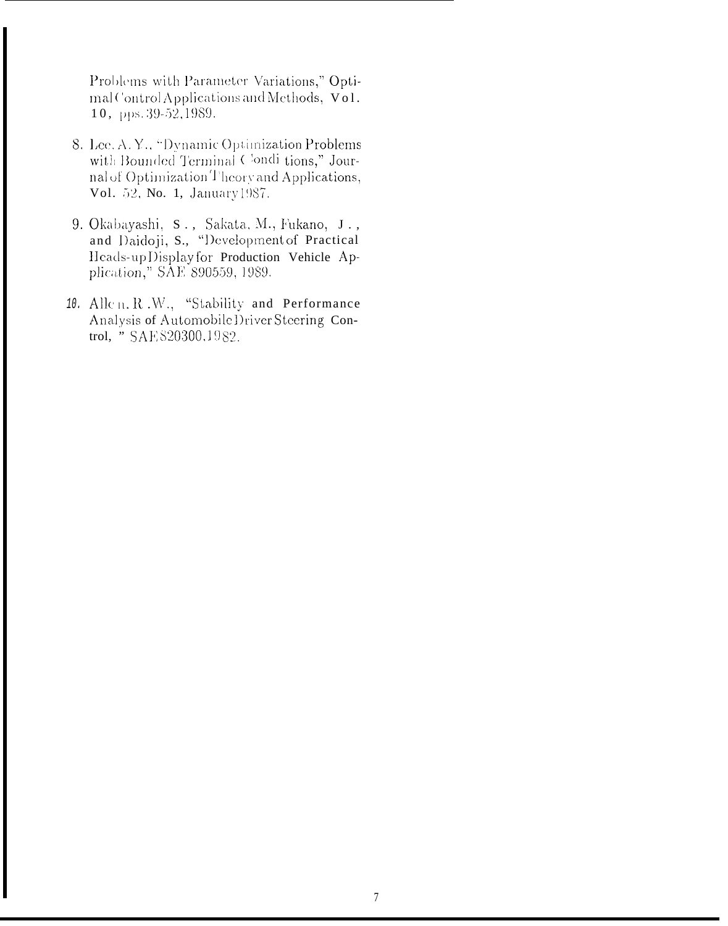Problems with Parameter Variations," Optimal Control Applications and Methods, Vol. 10, pps. 39-52, 1989.

- 8. Lee. A. Y., "Dynamic Optimization Problems with Bounded Terminal Condi tions," Journal of Optimization Theory and Applications, Vol. 52, No. 1, January 1987.
- 9. Okabayashi, S., Sakata, M., Fukano, J., and Daidoji, S., "Development of Practical Heads-upDisplay for Production Vehicle Application," SAE 890559, 1989.
- 10. Allen, R.W., "Stability and Performance Analysis of Automobile Driver Steering Control, " SAE 820300, 1982.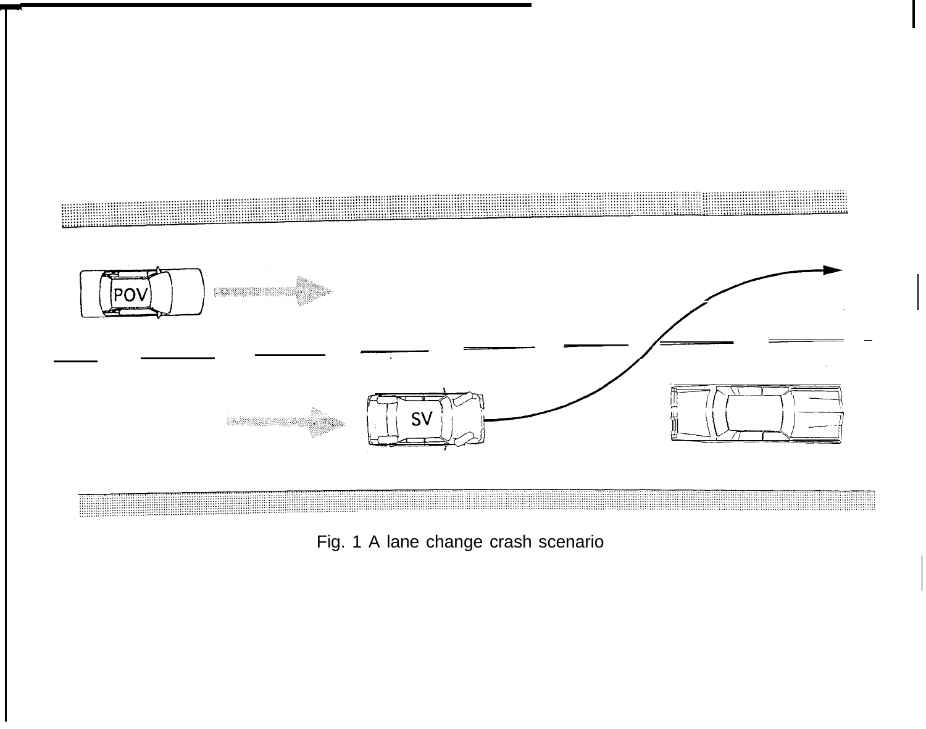

Fig. 1 A lane change crash scenario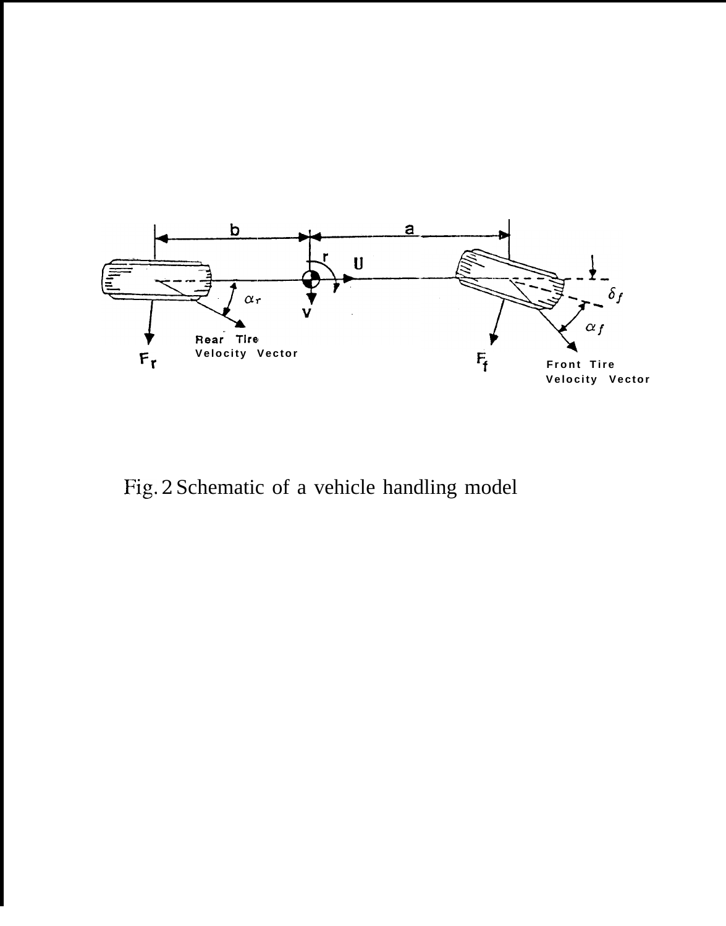

Fig. 2 Schematic of a vehicle handling model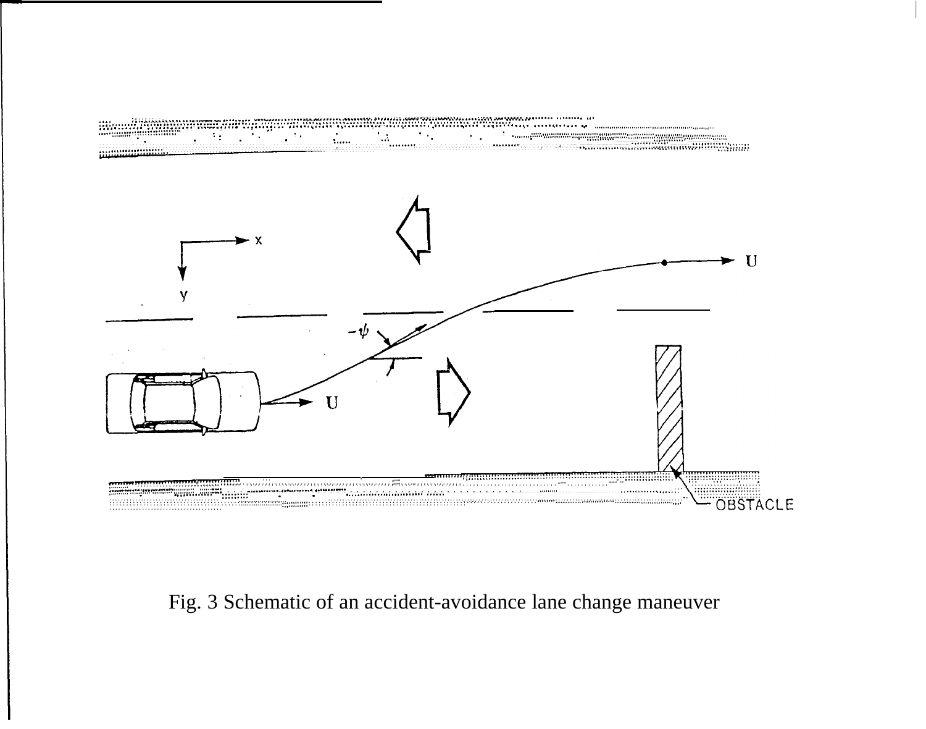

# Fig. 3 Schematic of an accident-avoidance lane change maneuver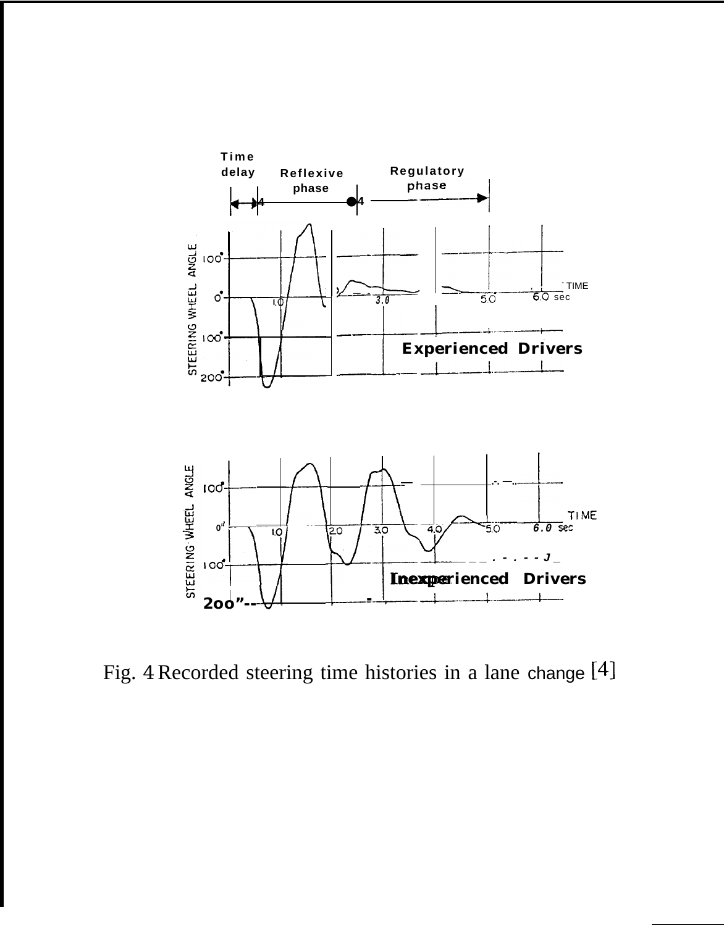

Fig. 4 Recorded steering time histories in a lane change [4]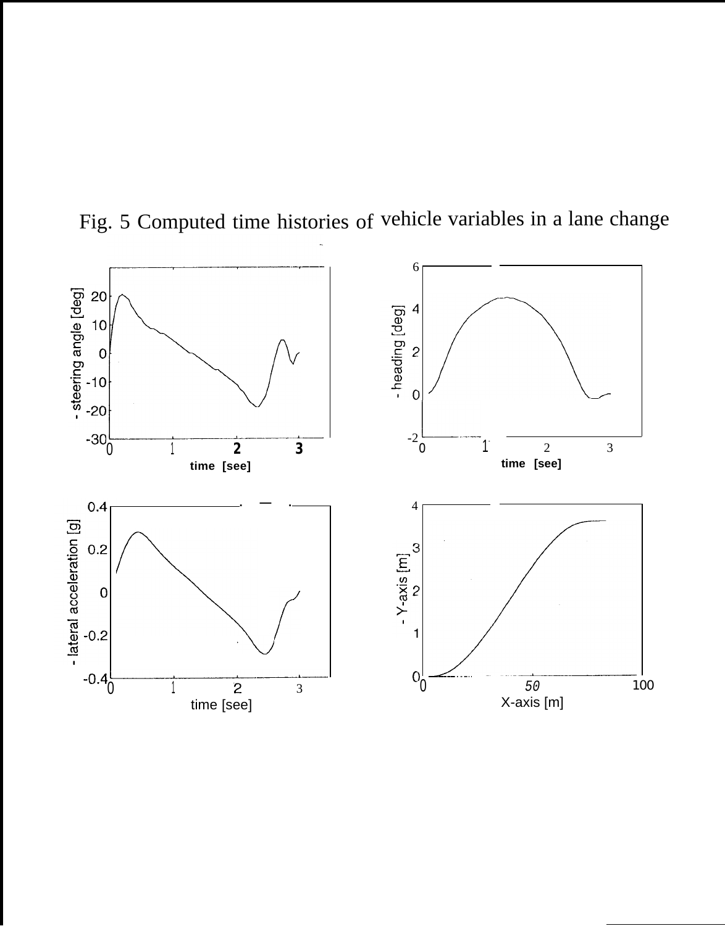

Fig. 5 Computed time histories of vehicle variables in a lane change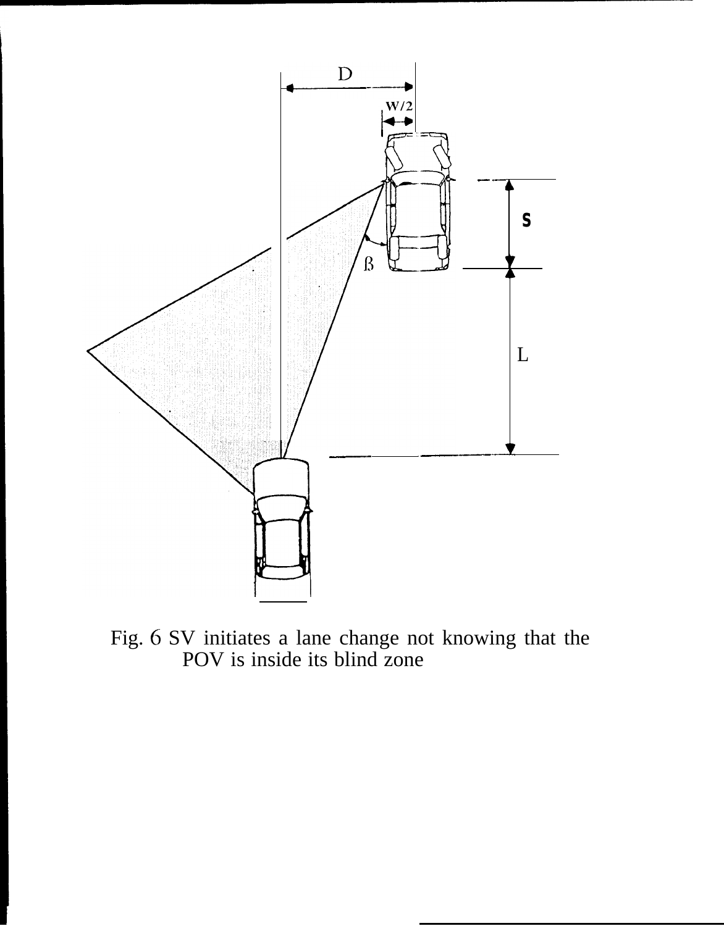

Fig. 6 SV initiates a lane change not knowing that the POV is inside its blind zone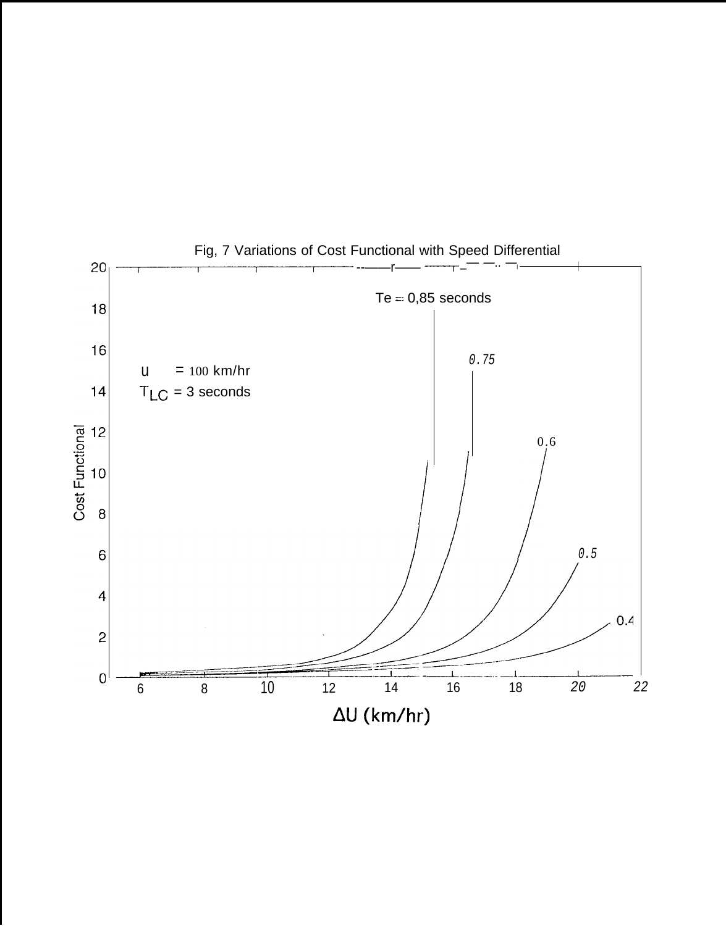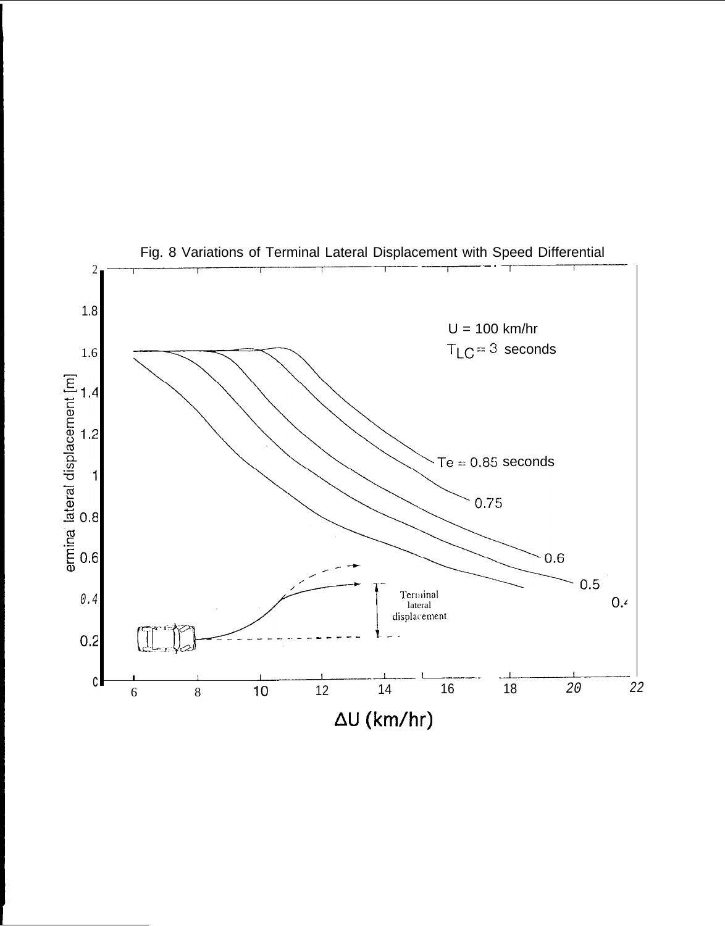